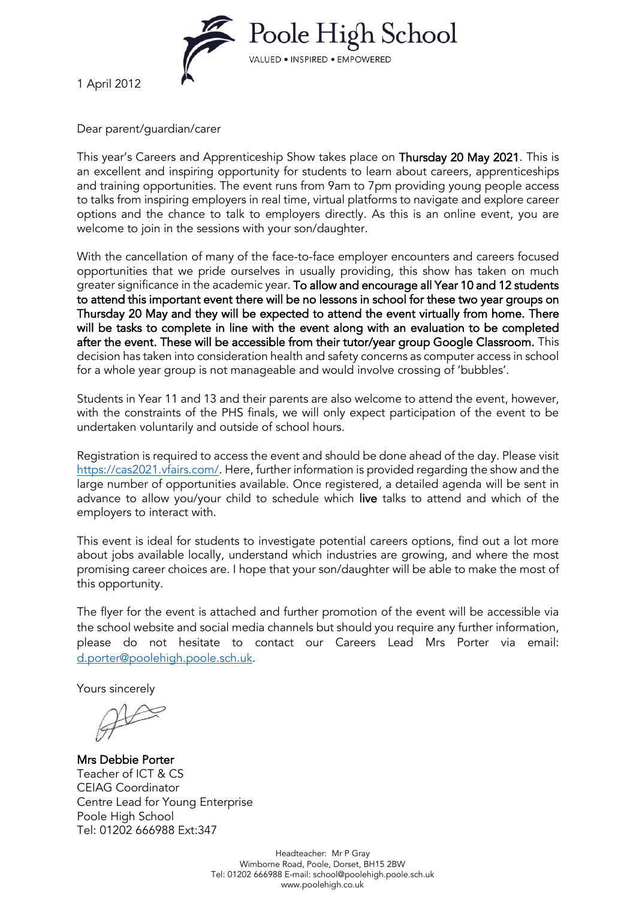

1 April 2012

Dear parent/guardian/carer

This year's Careers and Apprenticeship Show takes place on Thursday 20 May 2021. This is an excellent and inspiring opportunity for students to learn about careers, apprenticeships and training opportunities. The event runs from 9am to 7pm providing young people access to talks from inspiring employers in real time, virtual platforms to navigate and explore career options and the chance to talk to employers directly. As this is an online event, you are welcome to join in the sessions with your son/daughter.

With the cancellation of many of the face-to-face employer encounters and careers focused opportunities that we pride ourselves in usually providing, this show has taken on much greater significance in the academic year. To allow and encourage all Year 10 and 12 students to attend this important event there will be no lessons in school for these two year groups on Thursday 20 May and they will be expected to attend the event virtually from home. There will be tasks to complete in line with the event along with an evaluation to be completed after the event. These will be accessible from their tutor/year group Google Classroom. This decision has taken into consideration health and safety concerns as computer access in school for a whole year group is not manageable and would involve crossing of 'bubbles'.

Students in Year 11 and 13 and their parents are also welcome to attend the event, however, with the constraints of the PHS finals, we will only expect participation of the event to be undertaken voluntarily and outside of school hours.

Registration is required to access the event and should be done ahead of the day. Please visit [https://cas2021.vfairs.com/.](https://cas2021.vfairs.com/) Here, further information is provided regarding the show and the large number of opportunities available. Once registered, a detailed agenda will be sent in advance to allow you/your child to schedule which live talks to attend and which of the employers to interact with.

This event is ideal for students to investigate potential careers options, find out a lot more about jobs available locally, understand which industries are growing, and where the most promising career choices are. I hope that your son/daughter will be able to make the most of this opportunity.

The flyer for the event is attached and further promotion of the event will be accessible via the school website and social media channels but should you require any further information, please do not hesitate to contact our Careers Lead Mrs Porter via email: [d.porter@poolehigh.poole.sch.uk.](mailto:d.porter@poolehigh.poole.sch.uk)

Yours sincerely

Mrs Debbie Porter Teacher of ICT & CS CEIAG Coordinator Centre Lead for Young Enterprise Poole High School Tel: 01202 666988 Ext:347

> Headteacher: Mr P Gray Wimborne Road, Poole, Dorset, BH15 2BW Tel: 01202 666988 E-mail[: school@poolehigh.poole.sch.uk](mailto:school@poolehigh.poole.sch.uk) www.poolehigh.co.uk